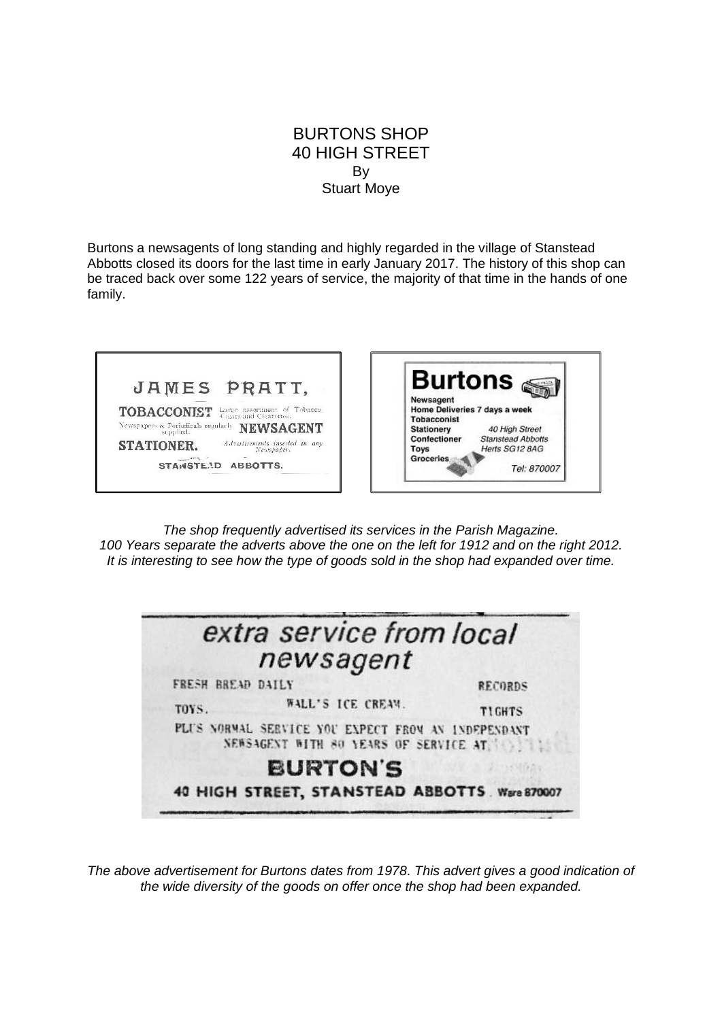## BURTONS SHOP 40 HIGH STREET By Stuart Moye

Burtons a newsagents of long standing and highly regarded in the village of Stanstead Abbotts closed its doors for the last time in early January 2017. The history of this shop can be traced back over some 122 years of service, the majority of that time in the hands of one family.



*The shop frequently advertised its services in the Parish Magazine. 100 Years separate the adverts above the one on the left for 1912 and on the right 2012. It is interesting to see how the type of goods sold in the shop had expanded over time.*

| extra service from local                                                                    |                |
|---------------------------------------------------------------------------------------------|----------------|
| newsagent                                                                                   |                |
| FRESH BREAD DAILY                                                                           | <b>RECORDS</b> |
| WALL'S ICE CREAM.<br>TOYS.                                                                  | <b>TIGHTS</b>  |
| PLUS NORMAL SERVICE YOU EXPECT FROM AN INDEPENDANT<br>NEWSAGENT WITH 80 YEARS OF SERVICE AT |                |
| <b>BURTON'S</b>                                                                             |                |
| 40 HIGH STREET, STANSTEAD ABBOTTS . Ware 870007                                             |                |

*The above advertisement for Burtons dates from 1978. This advert gives a good indication of the wide diversity of the goods on offer once the shop had been expanded.*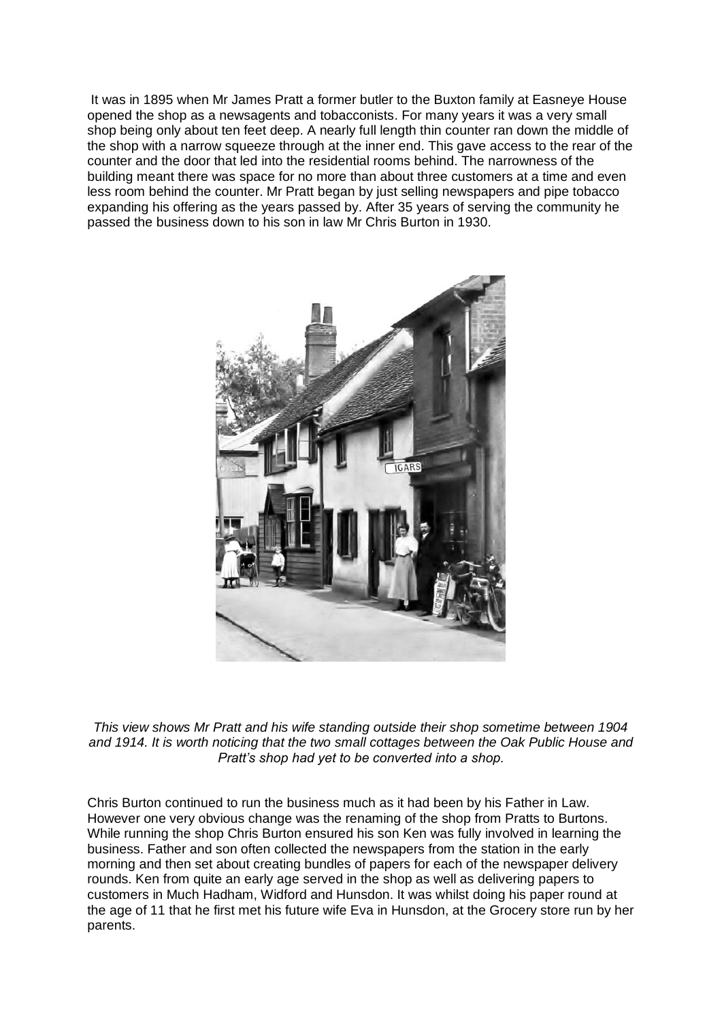It was in 1895 when Mr James Pratt a former butler to the Buxton family at Easneye House opened the shop as a newsagents and tobacconists. For many years it was a very small shop being only about ten feet deep. A nearly full length thin counter ran down the middle of the shop with a narrow squeeze through at the inner end. This gave access to the rear of the counter and the door that led into the residential rooms behind. The narrowness of the building meant there was space for no more than about three customers at a time and even less room behind the counter. Mr Pratt began by just selling newspapers and pipe tobacco expanding his offering as the years passed by. After 35 years of serving the community he passed the business down to his son in law Mr Chris Burton in 1930.



*This view shows Mr Pratt and his wife standing outside their shop sometime between 1904 and 1914. It is worth noticing that the two small cottages between the Oak Public House and Pratt's shop had yet to be converted into a shop.* 

Chris Burton continued to run the business much as it had been by his Father in Law. However one very obvious change was the renaming of the shop from Pratts to Burtons. While running the shop Chris Burton ensured his son Ken was fully involved in learning the business. Father and son often collected the newspapers from the station in the early morning and then set about creating bundles of papers for each of the newspaper delivery rounds. Ken from quite an early age served in the shop as well as delivering papers to customers in Much Hadham, Widford and Hunsdon. It was whilst doing his paper round at the age of 11 that he first met his future wife Eva in Hunsdon, at the Grocery store run by her parents.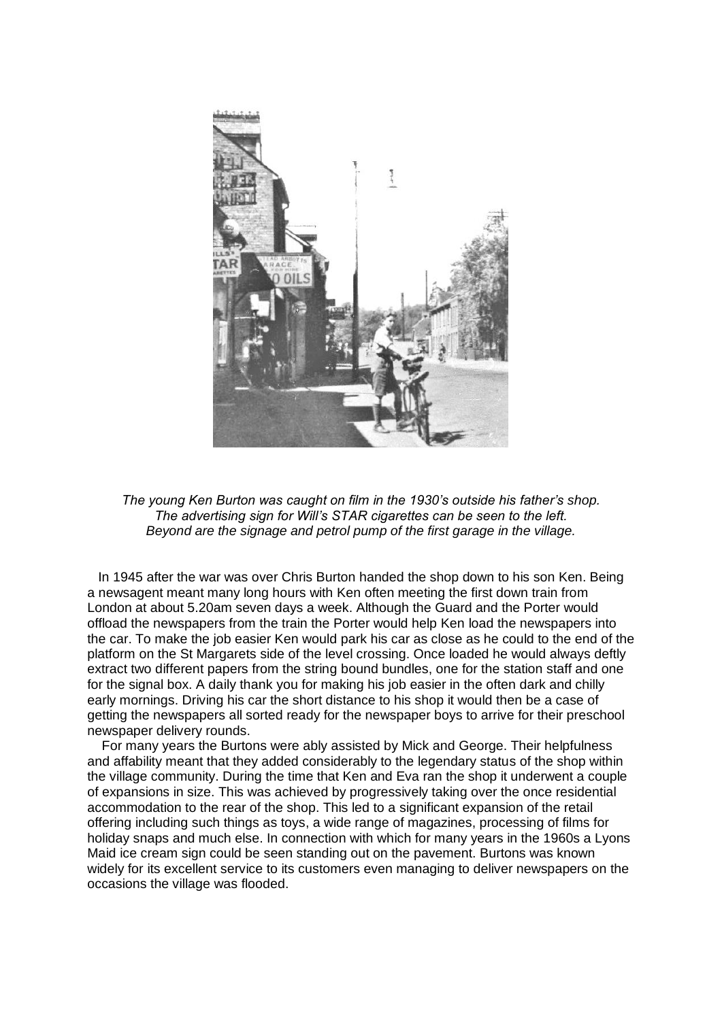

*The young Ken Burton was caught on film in the 1930's outside his father's shop. The advertising sign for Will's STAR cigarettes can be seen to the left. Beyond are the signage and petrol pump of the first garage in the village.* 

 In 1945 after the war was over Chris Burton handed the shop down to his son Ken. Being a newsagent meant many long hours with Ken often meeting the first down train from London at about 5.20am seven days a week. Although the Guard and the Porter would offload the newspapers from the train the Porter would help Ken load the newspapers into the car. To make the job easier Ken would park his car as close as he could to the end of the platform on the St Margarets side of the level crossing. Once loaded he would always deftly extract two different papers from the string bound bundles, one for the station staff and one for the signal box. A daily thank you for making his job easier in the often dark and chilly early mornings. Driving his car the short distance to his shop it would then be a case of getting the newspapers all sorted ready for the newspaper boys to arrive for their preschool newspaper delivery rounds.

 For many years the Burtons were ably assisted by Mick and George. Their helpfulness and affability meant that they added considerably to the legendary status of the shop within the village community. During the time that Ken and Eva ran the shop it underwent a couple of expansions in size. This was achieved by progressively taking over the once residential accommodation to the rear of the shop. This led to a significant expansion of the retail offering including such things as toys, a wide range of magazines, processing of films for holiday snaps and much else. In connection with which for many years in the 1960s a Lyons Maid ice cream sign could be seen standing out on the pavement. Burtons was known widely for its excellent service to its customers even managing to deliver newspapers on the occasions the village was flooded.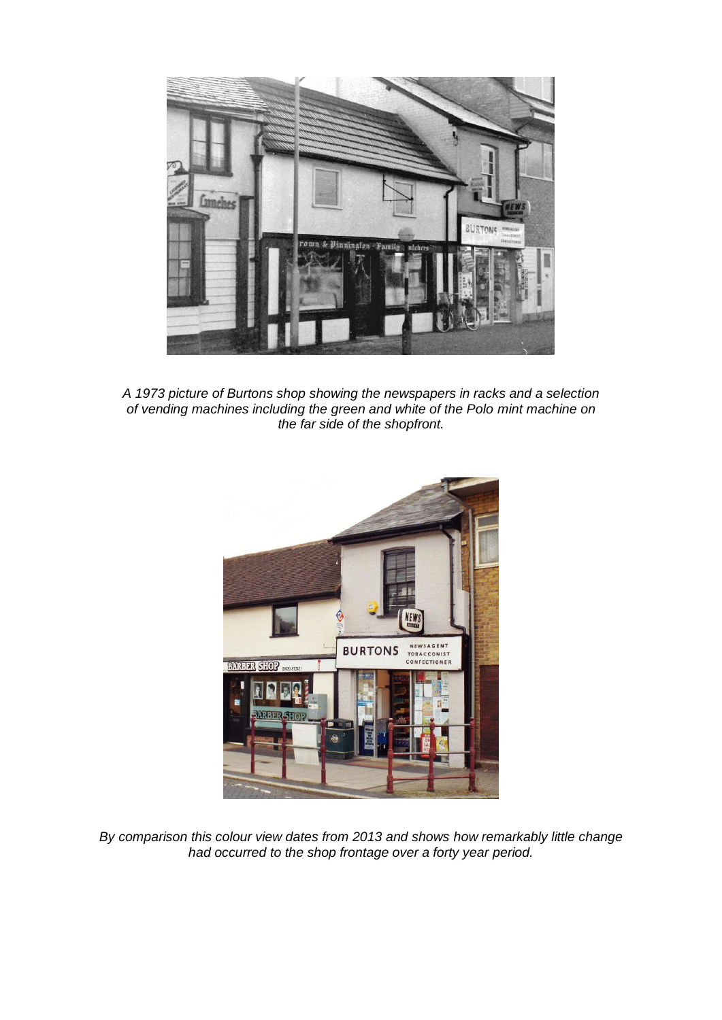

*A 1973 picture of Burtons shop showing the newspapers in racks and a selection of vending machines including the green and white of the Polo mint machine on the far side of the shopfront.*



*By comparison this colour view dates from 2013 and shows how remarkably little change had occurred to the shop frontage over a forty year period.*